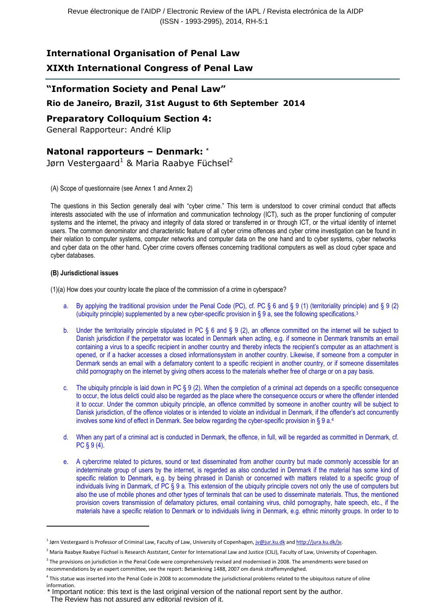# International Organisation of Penal Law

# XIXth International Congress of Penal Law

## "Information Society and Penal Law"

## Rio de Janeiro, Brazil, 31st August to 6th September 2014

## Preparatory Colloquium Section 4:

General Rapporteur: André Klip

## Natonal rapporteurs – Denmark: \*

Jørn Vestergaard<sup>1</sup> & Maria Raabye Füchsel<sup>2</sup>

### (A) Scope of questionnaire (see Annex 1 and Annex 2)

The questions in this Section generally deal with "cyber crime." This term is understood to cover criminal conduct that affects interests associated with the use of information and communication technology (ICT), such as the proper functioning of computer systems and the internet, the privacy and integrity of data stored or transferred in or through ICT, or the virtual identity of internet users. The common denominator and characteristic feature of all cyber crime offences and cyber crime investigation can be found in their relation to computer systems, computer networks and computer data on the one hand and to cyber systems, cyber networks and cyber data on the other hand. Cyber crime covers offenses concerning traditional computers as well as cloud cyber space and cyber databases.

### (B) Jurisdictional issues

 $\overline{\phantom{a}}$ 

(1)(a) How does your country locate the place of the commission of a crime in cyberspace?

- a. By applying the traditional provision under the Penal Code (PC), cf. PC § 6 and § 9 (1) (territoriality principle) and § 9 (2) (ubiquity principle) supplemented by a new cyber-specific provision in § 9 a, see the following specifications.<sup>3</sup>
- b. Under the territoriality principle stipulated in PC § 6 and § 9 (2), an offence committed on the internet will be subject to Danish jurisdiction if the perpetrator was located in Denmark when acting, e.g. if someone in Denmark transmits an email containing a virus to a specific recipient in another country and thereby infects the recipient's computer as an attachment is opened, or if a hacker accesses a closed informationsystem in another country. Likewise, if someone from a computer in Denmark sends an email with a defamatory content to a specific recipient in another country, or if someone dissemitates child pornography on the internet by giving others access to the materials whether free of charge or on a pay basis.
- c. The ubiquity principle is laid down in PC  $\S 9(2)$ . When the completion of a criminal act depends on a specific consequence to occur, the lotus delicti could also be regarded as the place where the consequence occurs or where the offender intended it to occur. Under the common ubiquity principle, an offence committed by someone in another country will be subject to Danisk jurisdiction, of the offence violates or is intended to violate an individual in Denmark, if the offender's act concurrently involves some kind of effect in Denmark. See below regarding the cyber-specific provision in § 9 a.<sup>4</sup>
- d. When any part of a criminal act is conducted in Denmark, the offence, in full, will be regarded as committed in Denmark, cf. PC § 9 (4).
- e. A cybercrime related to pictures, sound or text disseminated from another country but made commonly accessible for an indeterminate group of users by the internet, is regarded as also conducted in Denmark if the material has some kind of specific relation to Denmark, e.g. by being phrased in Danish or concerned with matters related to a specific group of individuals living in Danmark, cf PC § 9 a. This extension of the ubiquity principle covers not only the use of computers but also the use of mobile phones and other types of terminals that can be used to disseminate materials. Thus, the mentioned provision covers transmission of defamatory pictures, email containing virus, child pornography, hate speech, etc., if the materials have a specific relation to Denmark or to individuals living in Denmark, e.g. ethnic minority groups. In order to to

The Review has not assured any editorial revision of it.

<sup>&</sup>lt;sup>1</sup> Jørn Vestergaard is Professor of Criminal Law, Faculty of Law, University of Copenhagen, *jv@jur.ku.dk and http://jura.ku.dk/jv.* 

<sup>&</sup>lt;sup>2</sup> Maria Raabye Raabye Füchsel is Research Asststant, Center for International Law and Justice (CILJ), Faculty of Law, University of Copenhagen.

 $3$  The provisions on jurisdiction in the Penal Code were comprehensively revised and modernised in 2008. The amendments were based on recommendations by an expert committee, see the report: Betænkning 1488, 2007 om dansk straffemyndighed.

<sup>4</sup> This statue was inserted into the Penal Code in 2008 to accommodate the jurisdictional problems related to the ubiquitous nature of oline information.

Important notice: this text is the last original version of the national report sent by the author.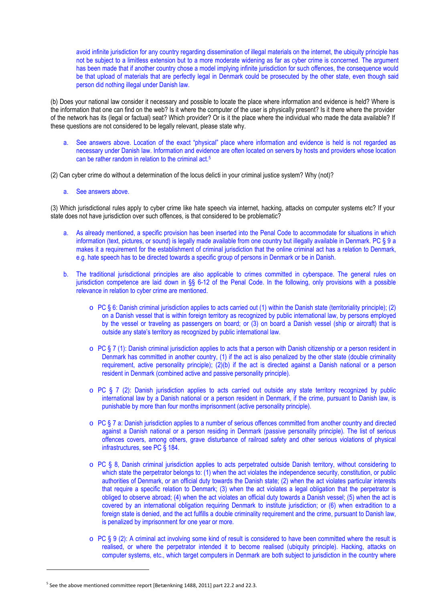avoid infinite jurisdiction for any country regarding dissemination of illegal materials on the internet, the ubiquity principle has not be subject to a limitless extension but to a more moderate widening as far as cyber crime is concerned. The argument has been made that if another country chose a model implying infinite jurisdiction for such offences, the consequence would be that upload of materials that are perfectly legal in Denmark could be prosecuted by the other state, even though said person did nothing illegal under Danish law.

(b) Does your national law consider it necessary and possible to locate the place where information and evidence is held? Where is the information that one can find on the web? Is it where the computer of the user is physically present? Is it there where the provider of the network has its (legal or factual) seat? Which provider? Or is it the place where the individual who made the data available? If these questions are not considered to be legally relevant, please state why.

See answers above. Location of the exact "physical" place where information and evidence is held is not regarded as necessary under Danish law. Information and evidence are often located on servers by hosts and providers whose location can be rather random in relation to the criminal act.<sup>5</sup>

(2) Can cyber crime do without a determination of the locus delicti in your criminal justice system? Why (not)?

a. See answers above.

(3) Which jurisdictional rules apply to cyber crime like hate speech via internet, hacking, attacks on computer systems etc? If your state does not have jurisdiction over such offences, is that considered to be problematic?

- a. As already mentioned, a specific provision has been inserted into the Penal Code to accommodate for situations in which information (text, pictures, or sound) is legally made available from one country but illegally available in Denmark. PC § 9 a makes it a requirement for the establishment of criminal jurisdiction that the online criminal act has a relation to Denmark, e.g. hate speech has to be directed towards a specific group of persons in Denmark or be in Danish.
- b. The traditional jurisdictional principles are also applicable to crimes committed in cyberspace. The general rules on jurisdiction competence are laid down in §§ 6-12 of the Penal Code. In the following, only provisions with a possible relevance in relation to cyber crime are mentioned.
	- $\circ$  PC § 6: Danish criminal jurisdiction applies to acts carried out (1) within the Danish state (territoriality principle); (2) on a Danish vessel that is within foreign territory as recognized by public international law, by persons employed by the vessel or traveling as passengers on board; or (3) on board a Danish vessel (ship or aircraft) that is outside any state's territory as recognized by public international law.
	- $\circ$  PC § 7 (1): Danish criminal jurisdiction applies to acts that a person with Danish citizenship or a person resident in Denmark has committed in another country, (1) if the act is also penalized by the other state (double criminality requirement, active personality principle); (2)(b) if the act is directed against a Danish national or a person resident in Denmark (combined active and passive personality principle).
	- o PC § 7 (2): Danish jurisdiction applies to acts carried out outside any state territory recognized by public international law by a Danish national or a person resident in Denmark, if the crime, pursuant to Danish law, is punishable by more than four months imprisonment (active personality principle).
	- o PC § 7 a: Danish jurisdiction applies to a number of serious offences committed from another country and directed against a Danish national or a person residing in Denmark (passive personality principle). The list of serious offences covers, among others, grave disturbance of railroad safety and other serious violations of physical infrastructures, see PC § 184.
	- o PC § 8, Danish criminal jurisdiction applies to acts perpetrated outside Danish territory, without considering to which state the perpetrator belongs to: (1) when the act violates the independence security, constitution, or public authorities of Denmark, or an official duty towards the Danish state; (2) when the act violates particular interests that require a specific relation to Denmark; (3) when the act violates a legal obligation that the perpetrator is obliged to observe abroad; (4) when the act violates an official duty towards a Danish vessel; (5) when the act is covered by an international obligation requiring Denmark to institute jurisdiction; or (6) when extradition to a foreign state is denied, and the act fulfills a double criminality requirement and the crime, pursuant to Danish law, is penalized by imprisonment for one year or more.
	- $\circ$  PC § 9 (2): A criminal act involving some kind of result is considered to have been committed where the result is realised, or where the perpetrator intended it to become realised (ubiquity principle). Hacking, attacks on computer systems, etc., which target computers in Denmark are both subject to jurisdiction in the country where

l

<sup>&</sup>lt;sup>5</sup> See the above mentioned committee report [Betænkning 1488, 2011] part 22.2 and 22.3.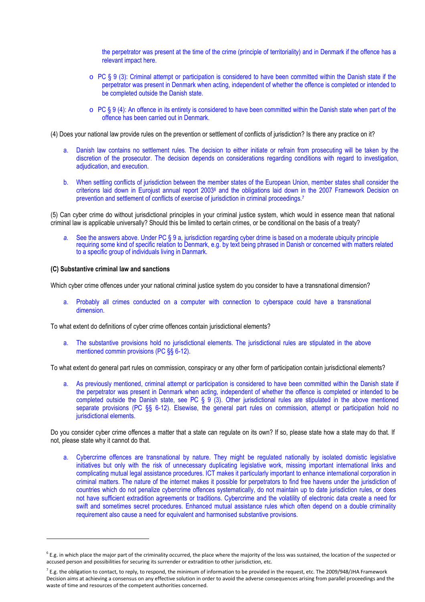the perpetrator was present at the time of the crime (principle of territoriality) and in Denmark if the offence has a relevant impact here.

- $\circ$  PC § 9 (3): Criminal attempt or participation is considered to have been committed within the Danish state if the perpetrator was present in Denmark when acting, independent of whether the offence is completed or intended to be completed outside the Danish state.
- $\circ$  PC § 9 (4): An offence in its entirety is considered to have been committed within the Danish state when part of the offence has been carried out in Denmark.
- (4) Does your national law provide rules on the prevention or settlement of conflicts of jurisdiction? Is there any practice on it?
	- a. Danish law contains no settlement rules. The decision to either initiate or refrain from prosecuting will be taken by the discretion of the prosecutor. The decision depends on considerations regarding conditions with regard to investigation, adjudication, and execution.
	- b. When settling conflicts of jurisdiction between the member states of the European Union, member states shall consider the criterions laid down in Eurojust annual report 2003<sup>6</sup> and the obligations laid down in the 2007 Framework Decision on prevention and settlement of conflicts of exercise of jurisdiction in criminal proceedings.<sup>7</sup>

(5) Can cyber crime do without jurisdictional principles in your criminal justice system, which would in essence mean that national criminal law is applicable universally? Should this be limited to certain crimes, or be conditional on the basis of a treaty?

a. See the answers above. Under PC § 9 a, jurisdiction regarding cyber drime is based on a moderate ubiquity principle requiring some kind of specific relation to Denmark, e.g. by text being phrased in Danish or concerned with matters related to a specific group of individuals living in Danmark.

#### (C) Substantive criminal law and sanctions

Which cyber crime offences under your national criminal justice system do you consider to have a transnational dimension?

a. Probably all crimes conducted on a computer with connection to cyberspace could have a transnational dimension.

To what extent do definitions of cyber crime offences contain jurisdictional elements?

a. The substantive provisions hold no jurisdictional elements. The jurisdictional rules are stipulated in the above mentioned commin provisions (PC §§ 6-12).

To what extent do general part rules on commission, conspiracy or any other form of participation contain jurisdictional elements?

a. As previously mentioned, criminal attempt or participation is considered to have been committed within the Danish state if the perpetrator was present in Denmark when acting, independent of whether the offence is completed or intended to be completed outside the Danish state, see PC § 9 (3). Other jurisdictional rules are stipulated in the above mentioned separate provisions (PC §§ 6-12). Elsewise, the general part rules on commission, attempt or participation hold no jurisdictional elements.

Do you consider cyber crime offences a matter that a state can regulate on its own? If so, please state how a state may do that. If not, please state why it cannot do that.

a. Cybercrime offences are transnational by nature. They might be regulated nationally by isolated domistic legislative initiatives but only with the risk of unnecessary duplicating legislative work, missing important international links and complicating mutual legal assistance procedures. ICT makes it particularly important to enhance international corporation in criminal matters. The nature of the internet makes it possible for perpetrators to find free havens under the jurisdiction of countries which do not penalize cybercrime offences systematically, do not maintain up to date jurisdiction rules, or does not have sufficient extradition agreements or traditions. Cybercrime and the volatility of electronic data create a need for swift and sometimes secret procedures. Enhanced mutual assistance rules which often depend on a double criminality requirement also cause a need for equivalent and harmonised substantive provisions.

 $^6$  E.g. in which place the major part of the criminality occurred, the place where the majority of the loss was sustained, the location of the suspected or accused person and possibilities for securing its surrender or extradition to other jurisdiction, etc.

 $^7$  E.g. the obligation to contact, to reply, to respond, the minimum of information to be provided in the request, etc. The 2009/948/JHA Framework Decision aims at achieving a consensus on any effective solution in order to avoid the adverse consequences arising from parallel proceedings and the waste of time and resources of the competent authorities concerned.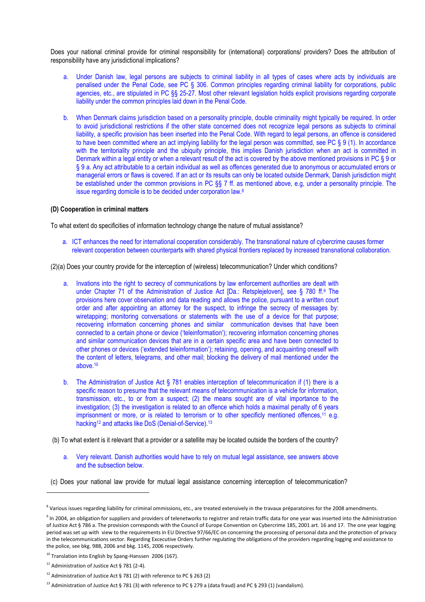Does your national criminal provide for criminal responsibility for (international) corporations/ providers? Does the attribution of responsibility have any jurisdictional implications?

- a. Under Danish law, legal persons are subjects to criminal liability in all types of cases where acts by individuals are penalised under the Penal Code, see PC § 306. Common principles regarding criminal liability for corporations, public agencies, etc., are stipulated in PC §§ 25-27. Most other relevant legislation holds explicit provisions regarding corporate liability under the common principles laid down in the Penal Code.
- b. When Denmark claims jurisdiction based on a personality principle, double criminality might typically be required. In order to avoid jurisdictional restrictions if the other state concerned does not recognize legal persons as subjects to criminal liability, a specific provision has been inserted into the Penal Code. With regard to legal persons, an offence is considered to have been committed where an act implying liability for the legal person was committed, see PC § 9 (1). In accordance with the territoriality principle and the ubiquity principle, this implies Danish jurisdiction when an act is committed in Denmark within a legal entity or when a relevant result of the act is covered by the above mentioned provisions in PC § 9 or § 9 a. Any act attributable to a certain individual as well as offences generated due to anonymous or accumulated errors or managerial errors or flaws is covered. If an act or its results can only be located outside Denmark, Danish jurisdiction might be established under the common provisions in PC §§ 7 ff. as mentioned above, e.g, under a personality principle. The issue regarding domicile is to be decided under corporation law.<sup>8</sup>

#### (D) Cooperation in criminal matters

To what extent do specificities of information technology change the nature of mutual assistance?

a. ICT enhances the need for international cooperation considerably. The transnational nature of cybercrime causes former relevant cooperation between counterparts with shared physical frontiers replaced by increased transnational collaboration.

(2)(a) Does your country provide for the interception of (wireless) telecommunication? Under which conditions?

- a. Invations into the right to secrecy of communications by law enforcement authorities are dealt with under Chapter 71 of the Administration of Justice Act [Da.: Retsplejeloven], see § 780 ff.<sup>9</sup> The provisions here cover observation and data reading and allows the police, pursuant to a written court order and after appointing an attorney for the suspect, to infringe the secrecy of messages by: wiretapping; monitoring conversations or statements with the use of a device for that purpose; recovering information concerning phones and similar communication devises that have been connected to a certain phone or device ('teleinformation'); recovering information concerning phones and similar communication devices that are in a certain specific area and have been connected to other phones or devices ('extended teleinformation'); retaining, opening, and acquainting oneself with the content of letters, telegrams, and other mail; blocking the delivery of mail mentioned under the above.<sup>10</sup>
- b. The Administration of Justice Act § 781 enables interception of telecommunication if (1) there is a specific reason to presume that the relevant means of telecommunication is a vehicle for information, transmission, etc., to or from a suspect; (2) the means sought are of vital importance to the investigation; (3) the investigation is related to an offence which holds a maximal penalty of 6 years imprisonment or more, or is related to terrorism or to other specificly mentioned offences,<sup>11</sup> e.g. hacking<sup>12</sup> and attacks like DoS (Denial-of-Service).<sup>13</sup>
- (b) To what extent is it relevant that a provider or a satellite may be located outside the borders of the country?
	- a. Very relevant. Danish authorities would have to rely on mutual legal assistance, see answers above and the subsection below.
- (c) Does your national law provide for mutual legal assistance concerning interception of telecommunication?

 $^8$  Various issues regarding liability for criminal ommissions, etc., are treated extensively in the travaux préparatoires for the 2008 amendments.

 $^9$  In 2004, an obligation for suppliers and providers of telenetworks to registrer and retain traffic data for one year was inserted into the Administration of Justice Act § 786 a. The provision corresponds with the Council of Europe Convention on Cybercrime 185, 2001 art. 16 and 17. The one year logging period was set up with view to the requirements in EU Directive 97/66/EC on concerning the processing of personal data and the protection of privacy in the telecommunications sector. Regarding Excecutive Orders further regulating the obligations of the providers regarding logging and assistance to the police, see bkg. 988, 2006 and bkg. 1145, 2006 respectively.

 $10$  Translation into English by Spang-Hanssen 2006 (167).

<sup>&</sup>lt;sup>11</sup> Administration of Justice Act § 781 (2-4).

<sup>&</sup>lt;sup>12</sup> Administration of Justice Act § 781 (2) with reference to PC § 263 (2)

<sup>&</sup>lt;sup>13</sup> Administration of Justice Act § 781 (3) with reference to PC § 279 a (data fraud) and PC § 293 (1) (vandalism).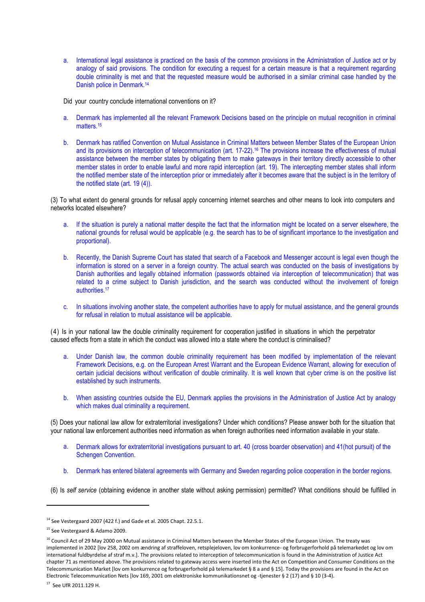a. International legal assistance is practiced on the basis of the common provisions in the Administration of Justice act or by analogy of said provisions. The condition for executing a request for a certain measure is that a requirement regarding double criminality is met and that the requested measure would be authorised in a similar criminal case handled by the Danish police in Denmark.<sup>14</sup>

Did your country conclude international conventions on it?

- a. Denmark has implemented all the relevant Framework Decisions based on the principle on mutual recognition in criminal matters.<sup>15</sup>
- b. Denmark has ratified Convention on Mutual Assistance in Criminal Matters between Member States of the European Union and its provisions on interception of telecommunication (art. 17-22).<sup>16</sup> The provisions increase the effectiveness of mutual assistance between the member states by obligating them to make gateways in their territory directly accessible to other member states in order to enable lawful and more rapid interception (art. 19). The intercepting member states shall inform the notified member state of the interception prior or immediately after it becomes aware that the subject is in the territory of the notified state (art. 19 (4)).

(3) To what extent do general grounds for refusal apply concerning internet searches and other means to look into computers and networks located elsewhere?

- a. If the situation is purely a national matter despite the fact that the information might be located on a server elsewhere, the national grounds for refusal would be applicable (e.g. the search has to be of significant importance to the investigation and proportional).
- b. Recently, the Danish Supreme Court has stated that search of a Facebook and Messenger account is legal even though the information is stored on a server in a foreign country. The actual search was conducted on the basis of investigations by Danish authorities and legally obtained information (passwords obtained via interception of telecommunication) that was related to a crime subject to Danish jurisdiction, and the search was conducted without the involvement of foreign authorities.<sup>17</sup>
- c. In situations involving another state, the competent authorities have to apply for mutual assistance, and the general grounds for refusal in relation to mutual assistance will be applicable.

(4) Is in your national law the double criminality requirement for cooperation justified in situations in which the perpetrator caused effects from a state in which the conduct was allowed into a state where the conduct is criminalised?

- a. Under Danish law, the common double criminality requirement has been modified by implementation of the relevant Framework Decisions, e.g. on the European Arrest Warrant and the European Evidence Warrant, allowing for execution of certain judicial decisions without verification of double criminality. It is well known that cyber crime is on the positive list established by such instruments.
- b. When assisting countries outside the EU, Denmark applies the provisions in the Administration of Justice Act by analogy which makes dual criminality a requirement.

(5) Does your national law allow for extraterritorial investigations? Under which conditions? Please answer both for the situation that your national law enforcement authorities need information as when foreign authorities need information available in your state.

- a. Denmark allows for extraterritorial investigations pursuant to art. 40 (cross boarder observation) and 41(hot pursuit) of the Schengen Convention.
- b. Denmark has entered bilateral agreements with Germany and Sweden regarding police cooperation in the border regions.

(6) Is self service (obtaining evidence in another state without asking permission) permitted? What conditions should be fulfilled in

 $\overline{\phantom{a}}$ 

<sup>&</sup>lt;sup>14</sup> See Vestergaard 2007 (422 f.) and Gade et al. 2005 Chapt. 22.5.1.

<sup>15</sup> See Vestergaard & Adamo 2009.

<sup>&</sup>lt;sup>16</sup> Council Act of 29 May 2000 on Mutual assistance in Criminal Matters between the Member States of the European Union. The treaty was implemented in 2002 [lov 258, 2002 om ændring af straffeloven, retsplejeloven, lov om konkurrence- og forbrugerforhold på telemarkedet og lov om international fuldbyrdelse af straf m.v.]. The provisions related to interception of telecommunication is found in the Administration of Justice Act chapter 71 as mentioned above. The provisions related to gateway access were inserted into the Act on Competition and Consumer Conditions on the Telecommunication Market [lov om konkurrence og forbrugerforhold på telemarkedet § 8 a and § 15]. Today the provisions are found in the Act on Electronic Telecommunication Nets [lov 169, 2001 om elektroniske kommunikationsnet og -tjenester § 2 (17) and § 10 (3-4).

<sup>17</sup> See UfR 2011.129 H.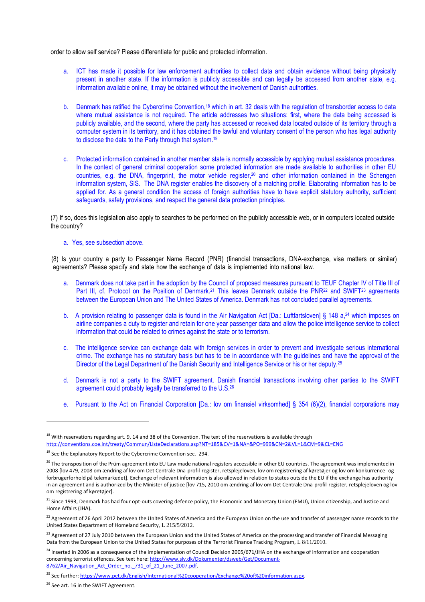order to allow self service? Please differentiate for public and protected information.

- a. ICT has made it possible for law enforcement authorities to collect data and obtain evidence without being physically present in another state. If the information is publicly accessible and can legally be accessed from another state, e.g. information available online, it may be obtained without the involvement of Danish authorities.
- b. Denmark has ratified the Cybercrime Convention,<sup>18</sup> which in art. 32 deals with the regulation of transborder access to data where mutual assistance is not required. The article addresses two situations: first, where the data being accessed is publicly available, and the second, where the party has accessed or received data located outside of its territory through a computer system in its territory, and it has obtained the lawful and voluntary consent of the person who has legal authority to disclose the data to the Party through that system.<sup>19</sup>
- c. Protected information contained in another member state is normally accessible by applying mutual assistance procedures. In the context of general criminal cooperation some protected information are made available to authorities in other EU countries, e.g. the DNA, fingerprint, the motor vehicle register,20 and other information contained in the Schengen information system, SIS. The DNA register enables the discovery of a matching profile. Elaborating information has to be applied for. As a general condition the access of foreign authorities have to have explicit statutory authority, sufficient safeguards, safety provisions, and respect the general data protection principles.

(7) If so, does this legislation also apply to searches to be performed on the publicly accessible web, or in computers located outside the country?

#### a. Yes, see subsection above.

 (8) Is your country a party to Passenger Name Record (PNR) (financial transactions, DNA-exchange, visa matters or similar) agreements? Please specify and state how the exchange of data is implemented into national law.

- a. Denmark does not take part in the adoption by the Council of proposed measures pursuant to TEUF Chapter IV of Title III of Part III, cf. Protocol on the Position of Denmark.<sup>21</sup> This leaves Denmark outside the PNR<sup>22</sup> and SWIFT<sup>23</sup> agreements between the European Union and The United States of America. Denmark has not concluded parallel agreements.
- b. A provision relating to passenger data is found in the Air Navigation Act [Da.: Luftfartsloven] § 148 a,<sup>24</sup> which imposes on airline companies a duty to register and retain for one year passenger data and allow the police intelligence service to collect information that could be related to crimes against the state or to terrorism.
- c. The intelligence service can exchange data with foreign services in order to prevent and investigate serious international crime. The exchange has no statutary basis but has to be in accordance with the guidelines and have the approval of the Director of the Legal Department of the Danish Security and Intelligence Service or his or her deputy.<sup>25</sup>
- d. Denmark is not a party to the SWIFT agreement. Danish financial transactions involving other parties to the SWIFT agreement could probably legally be transferred to the U.S.<sup>26</sup>
- e. Pursuant to the Act on Financial Corporation [Da.: lov om finansiel virksomhed] § 354 (6)(2), financial corporations may

l

 $18$  With reservations regarding art. 9, 14 and 38 of the Convention. The text of the reservations is available through http://conventions.coe.int/treaty/Commun/ListeDeclarations.asp?NT=185&CV=1&NA=&PO=999&CN=2&VL=1&CM=9&CL=ENG

 $19$  See the Explanatory Report to the Cybercrime Convention sec. 294.

 $^{20}$  The transposition of the Prüm agreement into EU Law made national registers accessible in other EU countries. The agreement was implemented in 2008 [lov 479, 2008 om ændring af lov om Det Centrale Dna-profil-register, retsplejeloven, lov om registrering af køretøjer og lov om konkurrence- og forbrugerforhold på telemarkedet]. Exchange of relevant information is also allowed in relation to states outside the EU if the exchange has authority in an agreement and is authorized by the Minister of justice [lov 715, 2010 om ændring af lov om Det Centrale Dna-profil-register, retsplejeloven og lov om registrering af køretøjer].

<sup>&</sup>lt;sup>21</sup> Since 1993, Denmark has had four opt-outs covering defence policy, the Economic and Monetary Union (EMU), Union citizenship, and Justice and Home Affairs (JHA).

<sup>&</sup>lt;sup>22</sup> Agreement of 26 April 2012 between the United States of America and the European Union on the use and transfer of passenger name records to the United States Department of Homeland Security, L 215/5/2012.

<sup>&</sup>lt;sup>23</sup> Agreement of 27 July 2010 between the European Union and the United States of America on the processing and transfer of Financial Messaging Data from the European Union to the United States for purposes of the Terrorist Finance Tracking Program, L 8/11/2010.

<sup>&</sup>lt;sup>24</sup> Inserted in 2006 as a consequence of the implementation of Council Decision 2005/671/JHA on the exchange of information and cooperation concerning terrorist offences. See text here: http://www.slv.dk/Dokumenter/dsweb/Get/Document-8762/Air\_Navigation\_Act\_Order\_no.\_731\_of\_21\_June\_2007.pdf.

<sup>&</sup>lt;sup>25</sup> See further: https://www.pet.dk/English/International%20cooperation/Exchange%20of%20information.aspx.

<sup>&</sup>lt;sup>26</sup> See art. 16 in the SWIFT Agreement.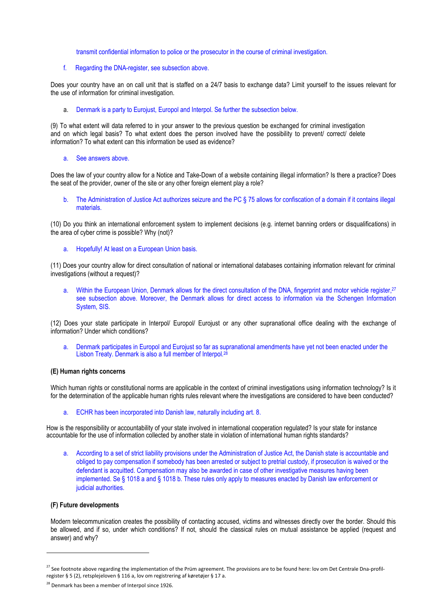transmit confidential information to police or the prosecutor in the course of criminal investigation.

f. Regarding the DNA-register, see subsection above.

Does your country have an on call unit that is staffed on a 24/7 basis to exchange data? Limit yourself to the issues relevant for the use of information for criminal investigation.

a. Denmark is a party to Eurojust, Europol and Interpol. Se further the subsection below.

(9) To what extent will data referred to in your answer to the previous question be exchanged for criminal investigation and on which legal basis? To what extent does the person involved have the possibility to prevent/ correct/ delete information? To what extent can this information be used as evidence?

#### a. See answers above.

Does the law of your country allow for a Notice and Take-Down of a website containing illegal information? Is there a practice? Does the seat of the provider, owner of the site or any other foreign element play a role?

b. The Administration of Justice Act authorizes seizure and the PC § 75 allows for confiscation of a domain if it contains illegal materials.

(10) Do you think an international enforcement system to implement decisions (e.g. internet banning orders or disqualifications) in the area of cyber crime is possible? Why (not)?

a. Hopefully! At least on a European Union basis.

(11) Does your country allow for direct consultation of national or international databases containing information relevant for criminal investigations (without a request)?

a. Within the European Union, Denmark allows for the direct consultation of the DNA, fingerprint and motor vehicle register,<sup>27</sup> see subsection above. Moreover, the Denmark allows for direct access to information via the Schengen Information System, SIS.

(12) Does your state participate in Interpol/ Europol/ Eurojust or any other supranational office dealing with the exchange of information? Under which conditions?

a. Denmark participates in Europol and Eurojust so far as supranational amendments have yet not been enacted under the Lisbon Treaty. Denmark is also a full member of Interpol.<sup>28</sup>

#### (E) Human rights concerns

Which human rights or constitutional norms are applicable in the context of criminal investigations using information technology? Is it for the determination of the applicable human rights rules relevant where the investigations are considered to have been conducted?

a. ECHR has been incorporated into Danish law, naturally including art. 8.

How is the responsibility or accountability of your state involved in international cooperation regulated? Is your state for instance accountable for the use of information collected by another state in violation of international human rights standards?

a. According to a set of strict liability provisions under the Administration of Justice Act, the Danish state is accountable and obliged to pay compensation if somebody has been arrested or subject to pretrial custody, if prosecution is waived or the defendant is acquitted. Compensation may also be awarded in case of other investigative measures having been implemented. Se § 1018 a and § 1018 b. These rules only apply to measures enacted by Danish law enforcement or judicial authorities.

#### (F) Future developments

Modern telecommunication creates the possibility of contacting accused, victims and witnesses directly over the border. Should this be allowed, and if so, under which conditions? If not, should the classical rules on mutual assistance be applied (request and answer) and why?

<sup>&</sup>lt;sup>27</sup> See footnote above regarding the implementation of the Prüm agreement. The provisions are to be found here: lov om Det Centrale Dna-profilregister § 5 (2), retsplejeloven § 116 a, lov om registrering af køretøjer § 17 a.

<sup>&</sup>lt;sup>28</sup> Denmark has been a member of Interpol since 1926.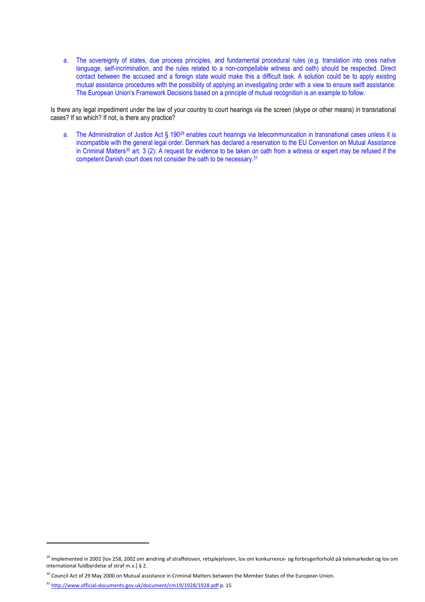a. The sovereignty of states, due process principles, and fundamental procedural rules (e.g. translation into ones native language, self-incrimination, and the rules related to a non-compellable witness and oath) should be respected. Direct contact between the accused and a foreign state would make this a difficult task. A solution could be to apply existing mutual assistance procedures with the possibility of applying an investigating order with a view to ensure swift assistance. The European Union's Framework Decisions based on a principle of mutual recognition is an example to follow.

Is there any legal impediment under the law of your country to court hearings via the screen (skype or other means) in transnational cases? If so which? If not, is there any practice?

a. The Administration of Justice Act § 190<sup>29</sup> enables court hearings via telecommunication in transnational cases unless it is incompatible with the general legal order. Denmark has declared a reservation to the EU Convention on Mutual Assistance in Criminal Matters<sup>30</sup> art.  $3$  (2): A request for evidence to be taken on oath from a witness or expert may be refused if the competent Danish court does not consider the oath to be necessary.<sup>31</sup>

<sup>&</sup>lt;sup>29</sup> Implemented in 2002 [lov 258, 2002 om ændring af straffeloven, retsplejeloven, lov om konkurrence- og forbrugerforhold på telemarkedet og lov om international fuldbyrdelse af straf m.v.] § 2.

<sup>&</sup>lt;sup>30</sup> Council Act of 29 May 2000 on Mutual assistance in Criminal Matters between the Member States of the European Union.

<sup>31</sup> http://www.official-documents.gov.uk/document/cm19/1928/1928.pdf p. 15